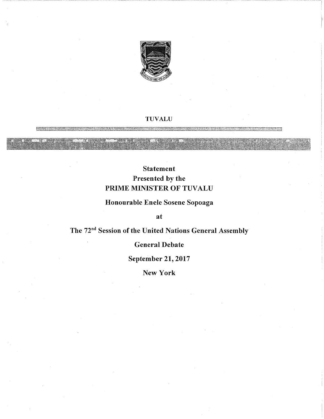

#### TUVALU

## Statement Presented by the PRIME MINISTER OF TUVALU

## Honourable Enele Sosene Sopoaga

at

# The 72"d Session of the United Nations General Assembly

## General Debate

September 21, 2017

New York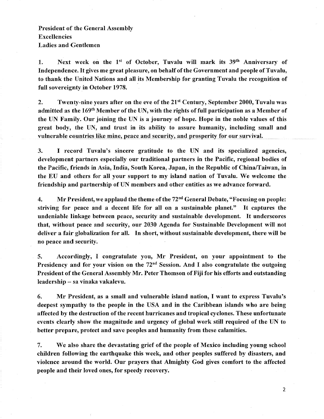### President of the General Assembly Excellencies Ladies and Gentlemen

1. Next week on the 1st of October, Tuvalu will mark its 39th Anniversary of Independence. It gives me great pleasure, on behalf of the Government and people of Tuvalu, to thank the United Nations and all its Membership for granting Tuvalu the recognition of full sovereignty in October 1978.

2. Twenty-nine years after on the eve of the  $21<sup>st</sup>$  Century, September 2000, Tuvalu was admitted as the 169th Member of the UN, with the rights of full participation as a Member of the UN Family. Our joining the UN is a journey of hope. Hope in the noble values of this great body, the UN, and trust in its ability to assure humanity, including small and vulnerable countries like mine, peace and security, and prosperity for our survival.

3. I record Tuvalu's sincere gratitude to the UN and its specialized agencies, development partners especially our traditional partners in the Pacific, regional bodies of the Pacific, friends in Asia, India, South Korea, Japan, in the Republic of China/Taiwan, in the EU and others for all your support to my island nation of Tuvalu. We welcome the friendship and partnership of UN members and other entities as we advance forward.

4. Mr President, we applaud the theme of the  $72<sup>nd</sup>$  General Debate, "Focusing on people: striving for peace and a decent life for all on a sustainable planet." It captures the undeniable linkage between peace, security and sustainable development. It underscores that, without peace and security, our 2030 Agenda for Sustainable Development will not deliver a fair globalization for all. In short, without sustainable development, there will be no peace and security.

5. Accordingly, I congratulate you, Mr President, on your appointment to the Presidency and for your vision on the  $72<sup>nd</sup>$  Session. And I also congratulate the outgoing President of the General Assembly Mr. Peter Thomson of Fiji for his efforts and outstanding leadership - sa vinaka vakalevu.

6. Mr President, as a small and vulnerable island nation, I want to express Tuvalu's deepest sympathy to the people in the USA and in the Caribbean islands who are being affected by the destruction of the recent hurricanes and tropical cyclones. These unfortunate events clearly show the magnitude and urgency of global work still required of the UN to better prepare, protect and save peoples and humanity from these calamities.

7. We also share the devastating grief of the people of Mexico including young school children following the earthquake this week, and other peoples suffered by disasters, and violence around the world. Our prayers that Almighty God gives comfort to the affected people and their loved ones, for speedy recovery.

 $\overline{2}$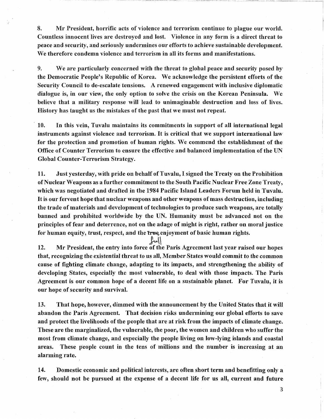8. Mr President, horrific acts of violence and terrorism continue to plague our world. Countless innocent lives are destroyed and lost. Violence in any form is a direct threat to peace and security, and seriously undermines our efforts to achieve sustainable development. We therefore condemn violence and terrorism in all its forms and manifestations.

9. We are particularly concerned with the threat to global peace and security posed by the Democratic People's Republic of Korea. We acknowledge the persistent efforts of the Security Council to de-escalate tensions. A renewed engagement with inclusive diplomatic dialogue is, in our view, the only option to solve the crisis on the Korean Peninsula. We believe that a military response will lead to unimaginable destruction and loss of lives. History has taught us the mistakes of the past that we must not repeat.

10. In this vein, Tuvalu maintains its commitments in support of all international legal instruments against violence and terrorism. It is critical that we support international law for the protection and promotion of human rights. We commend the establishment of the Office of Counter Terrorism to ensure the effective and balanced implementation of the UN Global Counter-Terrorism Strategy.

11. Just yesterday, with pride on behalf of Tuvalu, I signed the Treaty on the Prohibition of Nuclear Weapons as a further commitment to the South Pacific Nuclear Free Zone Treaty, which was negotiated and drafted in the 1984 Pacific Island Leaders Forum held in Tuvalu. It is our fervent hope that nuclear weapons and other weapons of mass destruction, including the trade of materials and development of technologies to produce such weapons, are totally banned and prohibited worldwide by the UN. Humanity must be advanced not on the principles of fear and deterrence, not on the adage of might is right, rather on moral justice for human equity, trust, respect, and the true, enjoyment of basic human rights.

12. Mr President, the entry into force of the Paris Agreement last year raised our hopes that, recognizing the existential threat to us all, Member States would commit to the common cause of fighting climate change, adapting to its impacts, and strengthening the ability of developing States, especially the most vulnerable, to deal with those impacts. The Paris Agreement is our common hope of a decent life on a sustainable planet. For Tuvalu, it is our hope of security and survival.

الملا

13. That hope, however, dimmed with the announcement by the United States that it will abandon the Paris Agreement. That decision risks undermining our global efforts to save and protect the livelihoods of the people that are at risk from the impacts of climate change. These are the marginalized, the vulnerable, the poor, the women and children who suffer the most from climate change, and especially the people living on low-lying islands and coastal areas. These people count in the tens of millions and the number is increasing at an alarming rate.

14. Domestic economic and political interests, are often short term and benefitting only a few, should not be pursued at the expense of a decent life for us all, current and future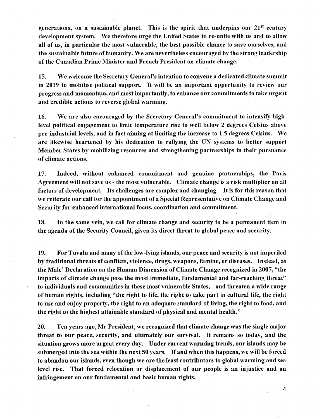generations, on a sustainable planet. This is the spirit that underpins our  $21<sup>st</sup>$  century development system. We therefore urge the United States to re-unite with us and to allow all of us, in particular the most vulnerable, the best possible chance to save ourselves, and the sustainable future of humanity. We are nevertheless encouraged by the strong leadership of the Canadian Prime Minister and French President on climate change.

15. We welcome the Secretary General's intention to convene a dedicated climate summit in 2019 to mobilise political support. It will be an important opportunity to review our progress and momentum, and most importantly, to enhance our commitments to take urgent and credible actions to reverse global warming.

16. We are also encouraged by the Secretary General's commitment to intensify highlevel political engagement to limit temperature rise to well below 2 degrees Celsius above pre-industrial levels, and in fact aiming at limiting the increase to 1.5 degrees Celsius. We are likewise heartened by his dedication to rallying the UN systems to better support Member States by mobilizing resources and strengthening partnerships in their pursuance of climate actions.

17. Indeed, without enhanced commitment and genuine partnerships, the Paris Agreement will not save us - the most vulnerable. Climate change is a risk multiplier on all factors of development. Its challenges are complex and changing. It is for this reason that we reiterate our call for the appointment of a Special Representative on Climate Change and Security for enhanced international focus, coordination and commitment.

18. In the same vein, we cail for climate change and security to be a permanent item in the agenda of the Security Council, given its direct threat to global peace and security.

I9. For Tuvalu and many of the low-lying islands, our peace and security is not imperiled by traditional threats of conflicts, violence, drugs, weapons, famine, or diseases. Instead, as the Male' Declaration on the Human Dimension of Climate Change recognized in 2007, "the impacts of climate change pose the most immediate, fundamental and far-reaching threat" to individuals and communities in these most vulnerable States, and threaten a wide range of human rights, including "the right to life, the right to take part in cultural life, the right to use and enjoy property, the right to an adequate standard of living, the right to food, and the right to the highest attainable standard of physical and mental health."

20. Ten years ago, Mr President, we recognized that climate change was the single major threat to our peace, security, and ultimately our survival. It remains so today, and the situation grows more urgent every day. Under current warming trends, our islands may be submerged into the sea within the next 50 years. If and when this happens, we will be forced to abandon our islands, even though we are the least contributors to global warming and sea level rise. That forced relocation or displacement of our people is an injustice and an infringement on our fundamental and basic human rights.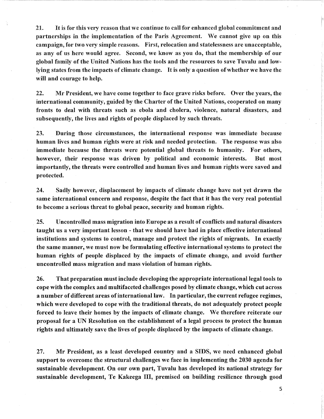21. It is for this very reason that we continue to call for enhanced global commitment and partnerships in the implementation of the Paris Agreement. We cannot give up on this campaign, for two very simple reasons. First, relocation and statelessness are unacceptable, as any of us here would agree. Second, we know as you do, that the membership of our global family of the United Nations has the tools and the resources to save Tuvalu and lowlying states from the impacts of climate change. It is only a question of whether we have the will and courage to help.

22. Mr President, we have come together to face grave risks before. Over the years, the international community, guided by the Charter of the United Nations, cooperated on many fronts to deal with threats Such as ebola and cholera, violence, natural disasters, and subsequently, the lives and rights of people displaced by such threats.

23. During those circumstances, the international response was immediate because human lives and human rights were at risk and needed protection. The response was also immediate because the threats were potential global threats to humanity. For others, however, their response was driven by political and economic interests. But most importantly, the threats were controlled and human lives and human rights were saved and protected.

24. Sadly however, displacement by impacts of climate change have not yet drawn the same international concern and response, despite the fact that it has the very real potential to become a serious threat to global peace, security and human rights.

25. Uncontrolled mass migration into Europe as a result of conflicts and natural disasters taught us a very important lesson - that we should have had in place effective international institutions and systems to control, manage and protect the rights of migrants. In exactly the same manner, we must now be formulating effective international systems to protect the human rights of people displaced by the impacts of climate change, and avoid further uncontrolled mass migration and mass violation of human rights.

26. That preparation must include developing the appropriate international legal tools to cope with the complex and multifaceted challenges posed by climate change, which cut across a number of different areas of international law. In particular, the current refugee regimes, which were developed to cope with the traditional threats, do not adequately protect people forced to leave their homes by the impacts of climate change. We therefore reiterate our proposal for a UN Resolution on the establishment of a legal process to protect the human rights and ultimately save the lives of people displaced by the impacts of climate change.

27. Mr President, as a least developed country and a SIDS, we need enhanced global support to overcome the structural challenges we face in implementing the 2030 agenda for sustainable development. On our own part, Tuvalu has developed its national strategy for sustainable development, Te Kakeega III, premised on building resilience through good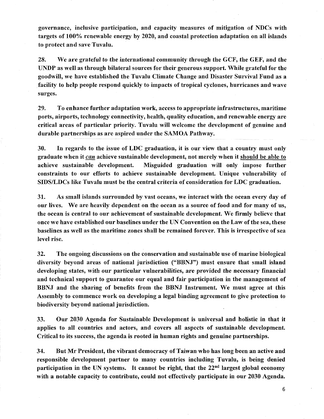governance, inclusive participation, and capacity measures of mitigation of NDCs with targets of 100% renewable energy by 2020, and coastal protection adaptation on all islands to protect and save Tuvalu.

28. We are grateful to the international community through the GCF, the GEF, and the UNDP as well as through bilateral sources for their generous support. While grateful for the goodwill, we have established the Tuvalu Climate Change and Disaster Survival Fund as a facility to help people respond quickly to impacts of tropical cyclones, hurricanes and wave surges.

29. To enhance further adaptation work, access to appropriate infrastructures, maritime ports, airports, technology connectivity, health, quality education, and renewable energy are critical areas of particular priority. Tuvalu will welcome the development of genuine and durable partnerships as are aspired under the SAMOA Pathway.

30. In regards to the issue of LDC graduation, it is our view that a country must only graduate when it can achieve sustainable development, not merely when it should be able to achieve sustainable development. Misguided graduation will only impose further constraints to our efforts to achieve sustainable development. Unique vulnerability of SIDS/LDCs like Tuvalu must be the central criteria of consideration for LDC graduation.

31. As small islands surrounded by vast oceans, we interact with the ocean every day of our lives. We are heavily dependent on the ocean as a source of food and for many of us, the ocean is central to our achievement of sustainable development. We firmly believe that once we have established our baselines under the UN Convention on the Law of the sea, these baselines as well as the maritime zones shall be remained forever. This is irrespective of sea level rise.

32. The ongoing discussions on the conservation and sustainable use of marine biological diversity beyond areas of national jurisdiction ("BBNJ") must ensure that small island developing states, with our particular vulnerabilities, are provided the necessary financial and technical support to guarantee our equal and fair participation in the management of BBNJ and the sharing of benefits from the BBNJ Instrument. We must agree at this Assembly to commence work on developing a legal binding agreement to give protection to biodiversity beyond national jurisdiction.

33. Our 2030 Agenda for Sustainable Development is universal and holistic in that it applies to all countries and actors, and covers aU aspects of sustainable development. Critical to its success, the agenda is rooted in human rights and genuine partnerships.

34. But Mr President, the vibrant democracy of Taiwan who has long been an active and responsible development partner to many countries including Tuvalu, is being denied participation in the UN systems. It cannot be right, that the  $22<sup>nd</sup>$  largest global economy with a notable capacity to contribute, could not effectively participate in our 2030 Agenda.